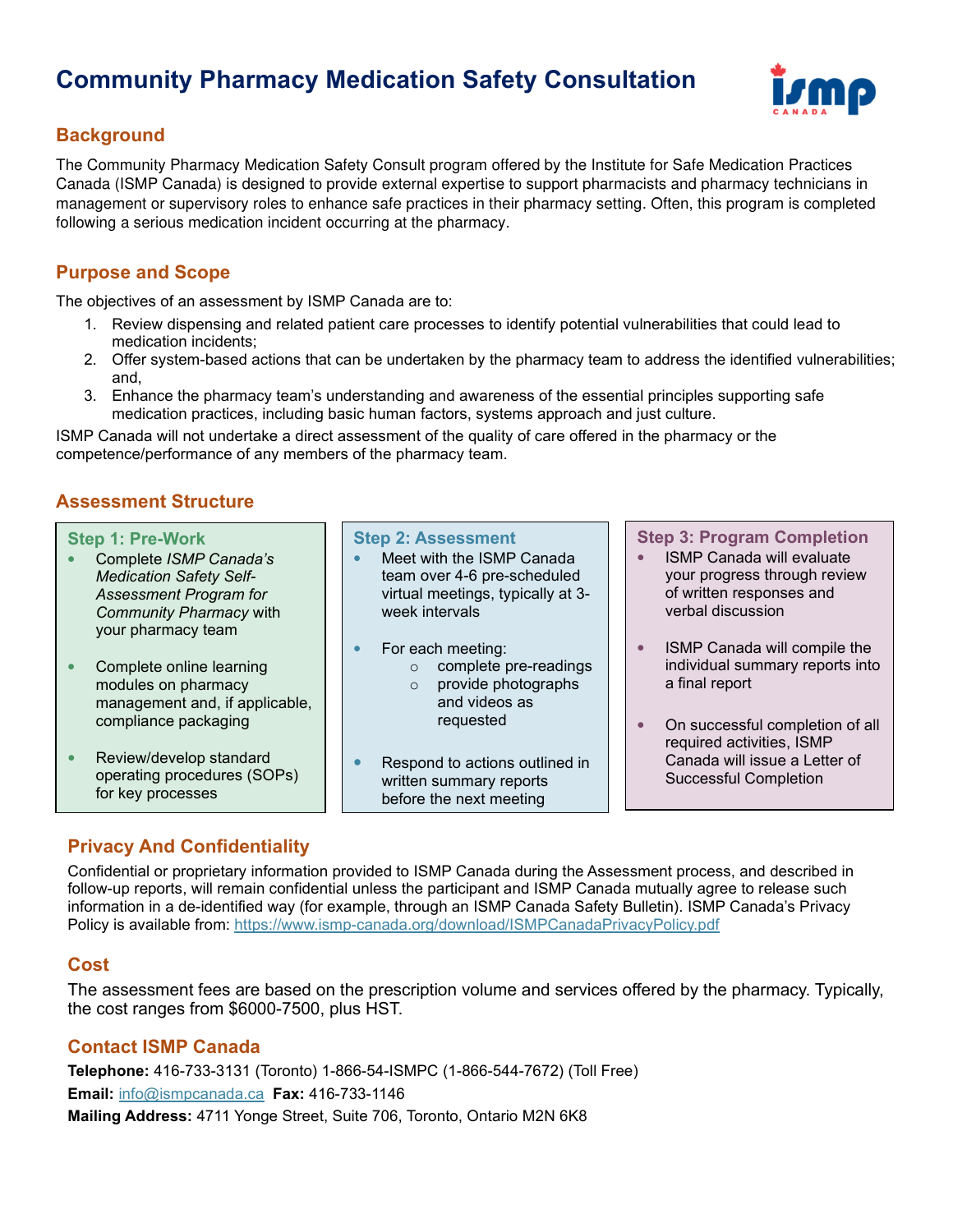# **Community Pharmacy Medication Safety Consultation**



## **Background**

The Community Pharmacy Medication Safety Consult program offered by the Institute for Safe Medication Practices Canada (ISMP Canada) is designed to provide external expertise to support pharmacists and pharmacy technicians in management or supervisory roles to enhance safe practices in their pharmacy setting. Often, this program is completed following a serious medication incident occurring at the pharmacy.

### **Purpose and Scope**

The objectives of an assessment by ISMP Canada are to:

- 1. Review dispensing and related patient care processes to identify potential vulnerabilities that could lead to medication incidents;
- 2. Offer system-based actions that can be undertaken by the pharmacy team to address the identified vulnerabilities; and,
- 3. Enhance the pharmacy team's understanding and awareness of the essential principles supporting safe medication practices, including basic human factors, systems approach and just culture.

ISMP Canada will not undertake a direct assessment of the quality of care offered in the pharmacy or the competence/performance of any members of the pharmacy team.

### **Assessment Structure**

#### **Step 1: Pre-Work**

- Complete *ISMP Canada's Medication Safety Self-Assessment Program for Community Pharmacy* with your pharmacy team
- Complete online learning modules on pharmacy management and, if applicable, compliance packaging
- Review/develop standard operating procedures (SOPs) for key processes

#### **Step 2: Assessment**

- Meet with the ISMP Canada team over 4-6 pre-scheduled virtual meetings, typically at 3 week intervals
- For each meeting:
	- o complete pre-readings
	- o provide photographs and videos as
		- requested
- Respond to actions outlined in written summary reports before the next meeting

**Step 3: Program Completion**

- ISMP Canada will evaluate your progress through review of written responses and verbal discussion
- ISMP Canada will compile the individual summary reports into a final report
- On successful completion of all required activities, ISMP Canada will issue a Letter of Successful Completion

# **Privacy And Confidentiality**

Confidential or proprietary information provided to ISMP Canada during the Assessment process, and described in follow-up reports, will remain confidential unless the participant and ISMP Canada mutually agree to release such information in a de-identified way (for example, through an ISMP Canada Safety Bulletin). ISMP Canada's Privacy Policy is available from: https://www.ismp-canada.org/download/ISMPCanadaPrivacyPolicy.pdf

### **Cost**

The assessment fees are based on the prescription volume and services offered by the pharmacy. Typically, the cost ranges from \$6000-7500, plus HST.

### **Contact ISMP Canada**

**Telephone:** 416-733-3131 (Toronto) 1-866-54-ISMPC (1-866-544-7672) (Toll Free) **Email:** info@ismpcanada.ca **Fax:** 416-733-1146 **Mailing Address:** 4711 Yonge Street, Suite 706, Toronto, Ontario M2N 6K8